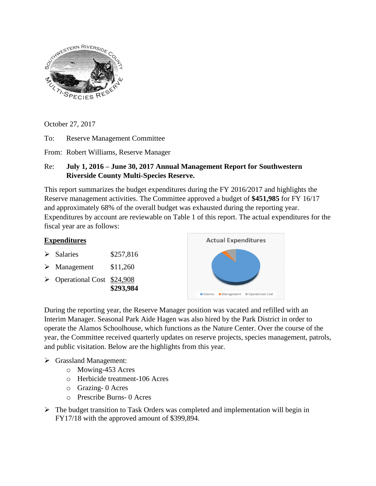

October 27, 2017

To: Reserve Management Committee

From: Robert Williams, Reserve Manager

## Re: **July 1, 2016 – June 30, 2017 Annual Management Report for Southwestern Riverside County Multi-Species Reserve.**

This report summarizes the budget expenditures during the FY 2016/2017 and highlights the Reserve management activities. The Committee approved a budget of **\$451,985** for FY 16/17 and approximately 68% of the overall budget was exhausted during the reporting year. Expenditures by account are reviewable on Table 1 of this report. The actual expenditures for the fiscal year are as follows:



During the reporting year, the Reserve Manager position was vacated and refilled with an Interim Manager. Seasonal Park Aide Hagen was also hired by the Park District in order to operate the Alamos Schoolhouse, which functions as the Nature Center. Over the course of the year, the Committee received quarterly updates on reserve projects, species management, patrols, and public visitation. Below are the highlights from this year.

## Grassland Management:

- o Mowing-453 Acres
- o Herbicide treatment-106 Acres
- o Grazing- 0 Acres
- o Prescribe Burns- 0 Acres
- $\triangleright$  The budget transition to Task Orders was completed and implementation will begin in FY17/18 with the approved amount of \$399,894.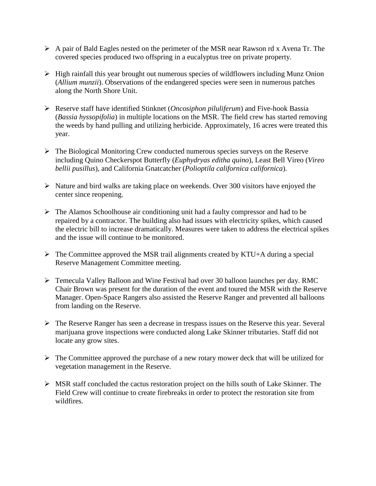- $\triangleright$  A pair of Bald Eagles nested on the perimeter of the MSR near Rawson rd x Avena Tr. The covered species produced two offspring in a eucalyptus tree on private property.
- $\triangleright$  High rainfall this year brought out numerous species of wildflowers including Munz Onion (*Allium munzii*). Observations of the endangered species were seen in numerous patches along the North Shore Unit.
- Reserve staff have identified Stinknet (*Oncosiphon piluliferum*) and Five-hook Bassia (*Bassia hyssopifolia*) in multiple locations on the MSR. The field crew has started removing the weeds by hand pulling and utilizing herbicide. Approximately, 16 acres were treated this year.
- $\triangleright$  The Biological Monitoring Crew conducted numerous species surveys on the Reserve including Quino Checkerspot Butterfly (*Euphydryas editha quino*), Least Bell Vireo (*Vireo bellii pusillus*), and California Gnatcatcher (*Polioptila californica californica*).
- $\triangleright$  Nature and bird walks are taking place on weekends. Over 300 visitors have enjoyed the center since reopening.
- $\triangleright$  The Alamos Schoolhouse air conditioning unit had a faulty compressor and had to be repaired by a contractor. The building also had issues with electricity spikes, which caused the electric bill to increase dramatically. Measures were taken to address the electrical spikes and the issue will continue to be monitored.
- $\triangleright$  The Committee approved the MSR trail alignments created by KTU+A during a special Reserve Management Committee meeting.
- Temecula Valley Balloon and Wine Festival had over 30 balloon launches per day. RMC Chair Brown was present for the duration of the event and toured the MSR with the Reserve Manager. Open-Space Rangers also assisted the Reserve Ranger and prevented all balloons from landing on the Reserve.
- $\triangleright$  The Reserve Ranger has seen a decrease in trespass issues on the Reserve this year. Several marijuana grove inspections were conducted along Lake Skinner tributaries. Staff did not locate any grow sites.
- $\triangleright$  The Committee approved the purchase of a new rotary mower deck that will be utilized for vegetation management in the Reserve.
- $\triangleright$  MSR staff concluded the cactus restoration project on the hills south of Lake Skinner. The Field Crew will continue to create firebreaks in order to protect the restoration site from wildfires.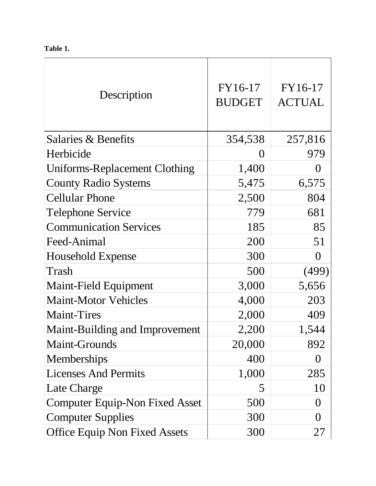**Table 1.**

| Description                          | FY16-17<br><b>BUDGET</b> | FY16-17<br><b>ACTUAL</b> |
|--------------------------------------|--------------------------|--------------------------|
| Salaries & Benefits                  | 354,538                  | 257,816                  |
| Herbicide                            | $\left( \right)$         | 979                      |
| Uniforms-Replacement Clothing        | 1,400                    | ()                       |
| <b>County Radio Systems</b>          | 5,475                    | 6,575                    |
| <b>Cellular Phone</b>                | 2,500                    | 804                      |
| <b>Telephone Service</b>             | 779                      | 681                      |
| <b>Communication Services</b>        | 185                      | 85                       |
| Feed-Animal                          | 200                      | 51                       |
| <b>Household Expense</b>             | 300                      | $\overline{0}$           |
| Trash                                | 500                      | (499)                    |
| Maint-Field Equipment                | 3,000                    | 5,656                    |
| <b>Maint-Motor Vehicles</b>          | 4,000                    | 203                      |
| <b>Maint-Tires</b>                   | 2,000                    | 409                      |
| Maint-Building and Improvement       | 2,200                    | 1,544                    |
| Maint-Grounds                        | 20,000                   | 892                      |
| Memberships                          | 400                      | $\left( \right)$         |
| <b>Licenses And Permits</b>          | 1,000                    | 285                      |
| Late Charge                          | 5                        | 10                       |
| Computer Equip-Non Fixed Asset       | 500                      | $\theta$                 |
| <b>Computer Supplies</b>             | 300                      | $\Omega$                 |
| <b>Office Equip Non Fixed Assets</b> | 300                      | 27                       |